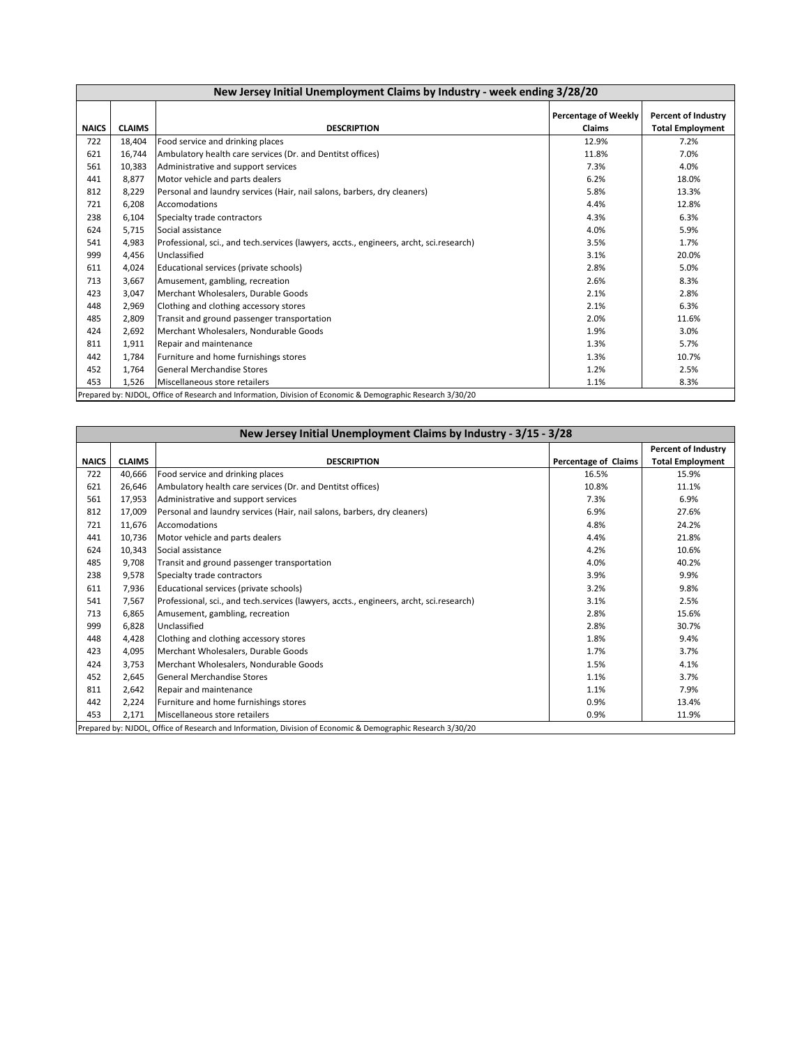| New Jersey Initial Unemployment Claims by Industry - week ending 3/28/20                                    |               |                                                                                         |                                              |                                                       |  |  |
|-------------------------------------------------------------------------------------------------------------|---------------|-----------------------------------------------------------------------------------------|----------------------------------------------|-------------------------------------------------------|--|--|
| <b>NAICS</b>                                                                                                | <b>CLAIMS</b> | <b>DESCRIPTION</b>                                                                      | <b>Percentage of Weekly</b><br><b>Claims</b> | <b>Percent of Industry</b><br><b>Total Employment</b> |  |  |
| 722                                                                                                         | 18,404        | Food service and drinking places                                                        | 12.9%                                        | 7.2%                                                  |  |  |
| 621                                                                                                         | 16,744        | Ambulatory health care services (Dr. and Dentitst offices)                              | 11.8%                                        | 7.0%                                                  |  |  |
| 561                                                                                                         | 10,383        | Administrative and support services                                                     | 7.3%                                         | 4.0%                                                  |  |  |
| 441                                                                                                         | 8,877         | Motor vehicle and parts dealers                                                         | 6.2%                                         | 18.0%                                                 |  |  |
| 812                                                                                                         | 8,229         | Personal and laundry services (Hair, nail salons, barbers, dry cleaners)                | 5.8%                                         | 13.3%                                                 |  |  |
| 721                                                                                                         | 6,208         | Accomodations                                                                           | 4.4%                                         | 12.8%                                                 |  |  |
| 238                                                                                                         | 6,104         | Specialty trade contractors                                                             | 4.3%                                         | 6.3%                                                  |  |  |
| 624                                                                                                         | 5,715         | Social assistance                                                                       | 4.0%                                         | 5.9%                                                  |  |  |
| 541                                                                                                         | 4,983         | Professional, sci., and tech.services (lawyers, accts., engineers, archt, sci.research) | 3.5%                                         | 1.7%                                                  |  |  |
| 999                                                                                                         | 4,456         | Unclassified                                                                            | 3.1%                                         | 20.0%                                                 |  |  |
| 611                                                                                                         | 4,024         | Educational services (private schools)                                                  | 2.8%                                         | 5.0%                                                  |  |  |
| 713                                                                                                         | 3,667         | Amusement, gambling, recreation                                                         | 2.6%                                         | 8.3%                                                  |  |  |
| 423                                                                                                         | 3,047         | Merchant Wholesalers, Durable Goods                                                     | 2.1%                                         | 2.8%                                                  |  |  |
| 448                                                                                                         | 2,969         | Clothing and clothing accessory stores                                                  | 2.1%                                         | 6.3%                                                  |  |  |
| 485                                                                                                         | 2,809         | Transit and ground passenger transportation                                             | 2.0%                                         | 11.6%                                                 |  |  |
| 424                                                                                                         | 2,692         | Merchant Wholesalers, Nondurable Goods                                                  | 1.9%                                         | 3.0%                                                  |  |  |
| 811                                                                                                         | 1,911         | Repair and maintenance                                                                  | 1.3%                                         | 5.7%                                                  |  |  |
| 442                                                                                                         | 1,784         | Furniture and home furnishings stores                                                   | 1.3%                                         | 10.7%                                                 |  |  |
| 452                                                                                                         | 1,764         | <b>General Merchandise Stores</b>                                                       | 1.2%                                         | 2.5%                                                  |  |  |
| 453                                                                                                         | 1.526         | Miscellaneous store retailers                                                           | 1.1%                                         | 8.3%                                                  |  |  |
| Prepared by: NJDOL, Office of Research and Information, Division of Economic & Demographic Research 3/30/20 |               |                                                                                         |                                              |                                                       |  |  |

| New Jersey Initial Unemployment Claims by Industry - 3/15 - 3/28                                            |               |                                                                                         |                      |                            |  |  |  |
|-------------------------------------------------------------------------------------------------------------|---------------|-----------------------------------------------------------------------------------------|----------------------|----------------------------|--|--|--|
|                                                                                                             |               |                                                                                         |                      | <b>Percent of Industry</b> |  |  |  |
| <b>NAICS</b>                                                                                                | <b>CLAIMS</b> | <b>DESCRIPTION</b>                                                                      | Percentage of Claims | <b>Total Employment</b>    |  |  |  |
| 722                                                                                                         | 40,666        | Food service and drinking places                                                        | 16.5%                | 15.9%                      |  |  |  |
| 621                                                                                                         | 26,646        | Ambulatory health care services (Dr. and Dentitst offices)                              | 10.8%                | 11.1%                      |  |  |  |
| 561                                                                                                         | 17,953        | Administrative and support services                                                     | 7.3%                 | 6.9%                       |  |  |  |
| 812                                                                                                         | 17,009        | Personal and laundry services (Hair, nail salons, barbers, dry cleaners)                | 6.9%                 | 27.6%                      |  |  |  |
| 721                                                                                                         | 11,676        | Accomodations                                                                           | 4.8%                 | 24.2%                      |  |  |  |
| 441                                                                                                         | 10,736        | Motor vehicle and parts dealers                                                         | 4.4%                 | 21.8%                      |  |  |  |
| 624                                                                                                         | 10,343        | Social assistance                                                                       | 4.2%                 | 10.6%                      |  |  |  |
| 485                                                                                                         | 9.708         | Transit and ground passenger transportation                                             | 4.0%                 | 40.2%                      |  |  |  |
| 238                                                                                                         | 9,578         | Specialty trade contractors                                                             | 3.9%                 | 9.9%                       |  |  |  |
| 611                                                                                                         | 7,936         | Educational services (private schools)                                                  | 3.2%                 | 9.8%                       |  |  |  |
| 541                                                                                                         | 7,567         | Professional, sci., and tech.services (lawyers, accts., engineers, archt, sci.research) | 3.1%                 | 2.5%                       |  |  |  |
| 713                                                                                                         | 6,865         | Amusement, gambling, recreation                                                         | 2.8%                 | 15.6%                      |  |  |  |
| 999                                                                                                         | 6,828         | Unclassified                                                                            | 2.8%                 | 30.7%                      |  |  |  |
| 448                                                                                                         | 4,428         | Clothing and clothing accessory stores                                                  | 1.8%                 | 9.4%                       |  |  |  |
| 423                                                                                                         | 4,095         | Merchant Wholesalers, Durable Goods                                                     | 1.7%                 | 3.7%                       |  |  |  |
| 424                                                                                                         | 3,753         | Merchant Wholesalers, Nondurable Goods                                                  | 1.5%                 | 4.1%                       |  |  |  |
| 452                                                                                                         | 2,645         | <b>General Merchandise Stores</b>                                                       | 1.1%                 | 3.7%                       |  |  |  |
| 811                                                                                                         | 2,642         | Repair and maintenance                                                                  | 1.1%                 | 7.9%                       |  |  |  |
| 442                                                                                                         | 2,224         | Furniture and home furnishings stores                                                   | 0.9%                 | 13.4%                      |  |  |  |
| 453                                                                                                         | 2,171         | Miscellaneous store retailers                                                           | 0.9%                 | 11.9%                      |  |  |  |
| Prepared by: NJDOL, Office of Research and Information, Division of Economic & Demographic Research 3/30/20 |               |                                                                                         |                      |                            |  |  |  |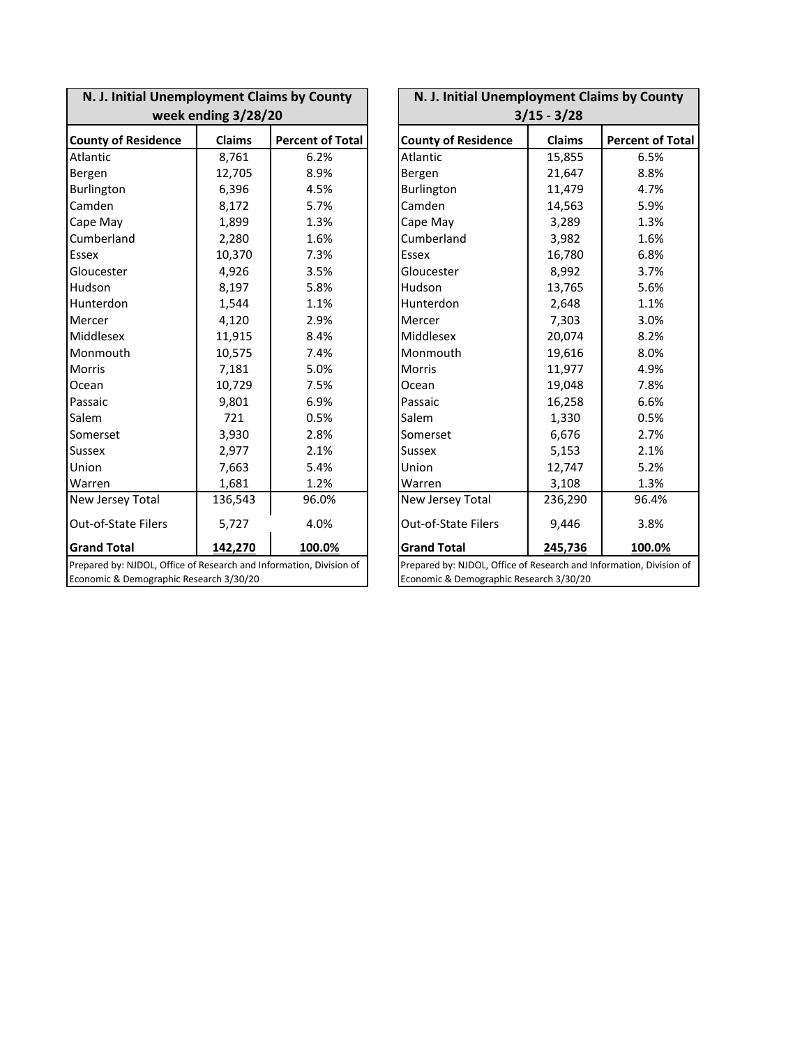| N. J. Initial Unemployment Claims by County                         |         |                         |  | N. J. Initial Unemployment Claims by County                         |         |                         |  |
|---------------------------------------------------------------------|---------|-------------------------|--|---------------------------------------------------------------------|---------|-------------------------|--|
| week ending 3/28/20                                                 |         |                         |  | $3/15 - 3/28$                                                       |         |                         |  |
| <b>County of Residence</b>                                          | Claims  | <b>Percent of Total</b> |  | <b>County of Residence</b>                                          | Claims  | <b>Percent of Total</b> |  |
| Atlantic                                                            | 8,761   | 6.2%                    |  | Atlantic                                                            | 15,855  | 6.5%                    |  |
| Bergen                                                              | 12,705  | 8.9%                    |  | Bergen                                                              | 21,647  | 8.8%                    |  |
| Burlington                                                          | 6,396   | 4.5%                    |  | Burlington                                                          | 11,479  | 4.7%                    |  |
| Camden                                                              | 8,172   | 5.7%                    |  | Camden                                                              | 14,563  | 5.9%                    |  |
| Cape May                                                            | 1,899   | 1.3%                    |  | Cape May                                                            | 3,289   | 1.3%                    |  |
| Cumberland                                                          | 2,280   | 1.6%                    |  | Cumberland                                                          | 3,982   | 1.6%                    |  |
| <b>Essex</b>                                                        | 10,370  | 7.3%                    |  | Essex                                                               | 16,780  | 6.8%                    |  |
| Gloucester                                                          | 4,926   | 3.5%                    |  | Gloucester                                                          | 8,992   | 3.7%                    |  |
| Hudson                                                              | 8,197   | 5.8%                    |  | Hudson                                                              | 13,765  | 5.6%                    |  |
| Hunterdon                                                           | 1,544   | 1.1%                    |  | Hunterdon                                                           | 2,648   | 1.1%                    |  |
| Mercer                                                              | 4,120   | 2.9%                    |  | Mercer                                                              | 7,303   | 3.0%                    |  |
| Middlesex                                                           | 11,915  | 8.4%                    |  | Middlesex                                                           | 20,074  | 8.2%                    |  |
| Monmouth                                                            | 10,575  | 7.4%                    |  | Monmouth                                                            | 19,616  | 8.0%                    |  |
| Morris                                                              | 7,181   | 5.0%                    |  | <b>Morris</b>                                                       | 11,977  | 4.9%                    |  |
| Ocean                                                               | 10,729  | 7.5%                    |  | Ocean                                                               | 19,048  | 7.8%                    |  |
| Passaic                                                             | 9,801   | 6.9%                    |  | Passaic                                                             | 16,258  | 6.6%                    |  |
| Salem                                                               | 721     | 0.5%                    |  | Salem                                                               | 1,330   | 0.5%                    |  |
| Somerset                                                            | 3,930   | 2.8%                    |  | Somerset                                                            | 6,676   | 2.7%                    |  |
| <b>Sussex</b>                                                       | 2,977   | 2.1%                    |  | <b>Sussex</b>                                                       | 5,153   | 2.1%                    |  |
| Union                                                               | 7,663   | 5.4%                    |  | Union                                                               | 12,747  | 5.2%                    |  |
| Warren                                                              | 1,681   | 1.2%                    |  | Warren                                                              | 3,108   | 1.3%                    |  |
| New Jersey Total                                                    | 136,543 | 96.0%                   |  | New Jersey Total                                                    | 236,290 | 96.4%                   |  |
| <b>Out-of-State Filers</b>                                          | 5,727   | 4.0%                    |  | <b>Out-of-State Filers</b>                                          | 9,446   | 3.8%                    |  |
| <b>Grand Total</b>                                                  | 142,270 | 100.0%                  |  | <b>Grand Total</b>                                                  | 245,736 | 100.0%                  |  |
| Prepared by: NJDOL, Office of Research and Information, Division of |         |                         |  | Prepared by: NJDOL, Office of Research and Information, Division of |         |                         |  |
| Economic & Demographic Research 3/30/20                             |         |                         |  | Economic & Demographic Research 3/30/20                             |         |                         |  |

| N. J. Initial Unemployment Claims by County                                                                    |               |                         |  |  |  |  |
|----------------------------------------------------------------------------------------------------------------|---------------|-------------------------|--|--|--|--|
| $3/15 - 3/28$                                                                                                  |               |                         |  |  |  |  |
| <b>County of Residence</b>                                                                                     | <b>Claims</b> | <b>Percent of Total</b> |  |  |  |  |
| Atlantic                                                                                                       | 15,855        | 6.5%                    |  |  |  |  |
| Bergen                                                                                                         | 21,647        | 8.8%                    |  |  |  |  |
| Burlington                                                                                                     | 11,479        | 4.7%                    |  |  |  |  |
| Camden                                                                                                         | 14,563        | 5.9%                    |  |  |  |  |
| Cape May                                                                                                       | 3,289         | 1.3%                    |  |  |  |  |
| Cumberland                                                                                                     | 3,982         | 1.6%                    |  |  |  |  |
| Essex                                                                                                          | 16,780        | 6.8%                    |  |  |  |  |
| Gloucester                                                                                                     | 8,992         | 3.7%                    |  |  |  |  |
| Hudson                                                                                                         | 13,765        | 5.6%                    |  |  |  |  |
| Hunterdon                                                                                                      | 2,648         | 1.1%                    |  |  |  |  |
| Mercer                                                                                                         | 7,303         | 3.0%                    |  |  |  |  |
| Middlesex                                                                                                      | 20,074        | 8.2%                    |  |  |  |  |
| Monmouth                                                                                                       | 19,616        | 8.0%                    |  |  |  |  |
| Morris                                                                                                         | 11,977        | 4.9%                    |  |  |  |  |
| Ocean                                                                                                          | 19,048        | 7.8%                    |  |  |  |  |
| Passaic                                                                                                        | 16,258        | 6.6%                    |  |  |  |  |
| Salem                                                                                                          | 1,330         | 0.5%                    |  |  |  |  |
| Somerset                                                                                                       | 6,676         | 2.7%                    |  |  |  |  |
| <b>Sussex</b>                                                                                                  | 5,153         | 2.1%                    |  |  |  |  |
| Union                                                                                                          | 12,747        | 5.2%                    |  |  |  |  |
| Warren                                                                                                         | 3,108         | 1.3%                    |  |  |  |  |
| New Jersey Total                                                                                               | 236,290       | 96.4%                   |  |  |  |  |
| <b>Out-of-State Filers</b>                                                                                     | 9,446         | 3.8%                    |  |  |  |  |
| <b>Grand Total</b><br>245,736<br>100.0%                                                                        |               |                         |  |  |  |  |
| Prepared by: NJDOL, Office of Research and Information, Division of<br>Economic & Demographic Research 3/30/20 |               |                         |  |  |  |  |
|                                                                                                                |               |                         |  |  |  |  |